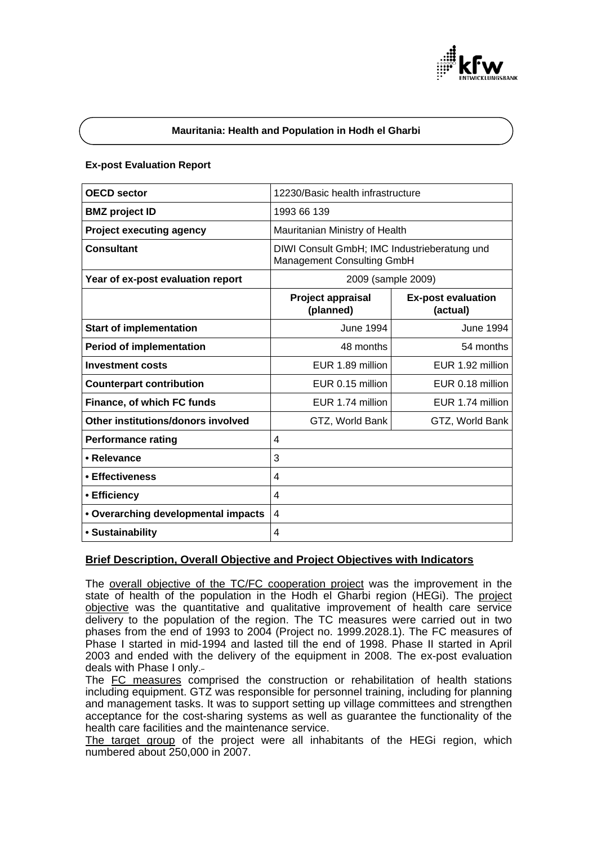

### **Mauritania: Health and Population in Hodh el Gharbi**

### **Ex-post Evaluation Report**

| <b>OECD</b> sector                  | 12230/Basic health infrastructure                                          |                                       |
|-------------------------------------|----------------------------------------------------------------------------|---------------------------------------|
| <b>BMZ</b> project ID               | 1993 66 139                                                                |                                       |
| <b>Project executing agency</b>     | Mauritanian Ministry of Health                                             |                                       |
| <b>Consultant</b>                   | DIWI Consult GmbH; IMC Industrieberatung und<br>Management Consulting GmbH |                                       |
| Year of ex-post evaluation report   | 2009 (sample 2009)                                                         |                                       |
|                                     | Project appraisal<br>(planned)                                             | <b>Ex-post evaluation</b><br>(actual) |
| <b>Start of implementation</b>      | June 1994                                                                  | <b>June 1994</b>                      |
| <b>Period of implementation</b>     | 48 months                                                                  | 54 months                             |
| <b>Investment costs</b>             | EUR 1.89 million                                                           | EUR 1.92 million                      |
| <b>Counterpart contribution</b>     | EUR 0.15 million                                                           | EUR 0.18 million                      |
| Finance, of which FC funds          | EUR 1.74 million                                                           | EUR 1.74 million                      |
| Other institutions/donors involved  | GTZ, World Bank                                                            | GTZ, World Bank                       |
| <b>Performance rating</b>           | 4                                                                          |                                       |
| • Relevance                         | 3                                                                          |                                       |
| • Effectiveness                     | 4                                                                          |                                       |
| • Efficiency                        | 4                                                                          |                                       |
| • Overarching developmental impacts | 4                                                                          |                                       |
| • Sustainability                    | 4                                                                          |                                       |

## **Brief Description, Overall Objective and Project Objectives with Indicators**

The overall objective of the TC/FC cooperation project was the improvement in the state of health of the population in the Hodh el Gharbi region (HEGi). The project objective was the quantitative and qualitative improvement of health care service delivery to the population of the region. The TC measures were carried out in two phases from the end of 1993 to 2004 (Project no. 1999.2028.1). The FC measures of Phase I started in mid-1994 and lasted till the end of 1998. Phase II started in April 2003 and ended with the delivery of the equipment in 2008. The ex-post evaluation deals with Phase I only.

The FC measures comprised the construction or rehabilitation of health stations including equipment. GTZ was responsible for personnel training, including for planning and management tasks. It was to support setting up village committees and strengthen acceptance for the cost-sharing systems as well as guarantee the functionality of the health care facilities and the maintenance service.

The target group of the project were all inhabitants of the HEGi region, which numbered about 250,000 in 2007.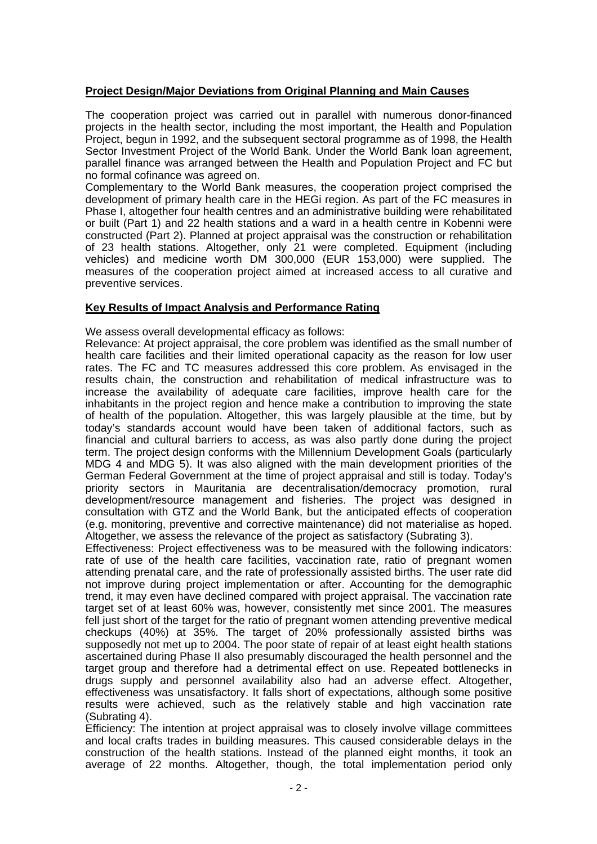# **Project Design/Major Deviations from Original Planning and Main Causes**

The cooperation project was carried out in parallel with numerous donor-financed projects in the health sector, including the most important, the Health and Population Project, begun in 1992, and the subsequent sectoral programme as of 1998, the Health Sector Investment Project of the World Bank. Under the World Bank loan agreement, parallel finance was arranged between the Health and Population Project and FC but no formal cofinance was agreed on.

Complementary to the World Bank measures, the cooperation project comprised the development of primary health care in the HEGi region. As part of the FC measures in Phase I, altogether four health centres and an administrative building were rehabilitated or built (Part 1) and 22 health stations and a ward in a health centre in Kobenni were constructed (Part 2). Planned at project appraisal was the construction or rehabilitation of 23 health stations. Altogether, only 21 were completed. Equipment (including vehicles) and medicine worth DM 300,000 (EUR 153,000) were supplied. The measures of the cooperation project aimed at increased access to all curative and preventive services.

## **Key Results of Impact Analysis and Performance Rating**

We assess overall developmental efficacy as follows:

Relevance: At project appraisal, the core problem was identified as the small number of health care facilities and their limited operational capacity as the reason for low user rates. The FC and TC measures addressed this core problem. As envisaged in the results chain, the construction and rehabilitation of medical infrastructure was to increase the availability of adequate care facilities, improve health care for the inhabitants in the project region and hence make a contribution to improving the state of health of the population. Altogether, this was largely plausible at the time, but by today's standards account would have been taken of additional factors, such as financial and cultural barriers to access, as was also partly done during the project term. The project design conforms with the Millennium Development Goals (particularly MDG 4 and MDG 5). It was also aligned with the main development priorities of the German Federal Government at the time of project appraisal and still is today. Today's priority sectors in Mauritania are decentralisation/democracy promotion, rural development/resource management and fisheries. The project was designed in consultation with GTZ and the World Bank, but the anticipated effects of cooperation (e.g. monitoring, preventive and corrective maintenance) did not materialise as hoped. Altogether, we assess the relevance of the project as satisfactory (Subrating 3).

Effectiveness: Project effectiveness was to be measured with the following indicators: rate of use of the health care facilities, vaccination rate, ratio of pregnant women attending prenatal care, and the rate of professionally assisted births. The user rate did not improve during project implementation or after. Accounting for the demographic trend, it may even have declined compared with project appraisal. The vaccination rate target set of at least 60% was, however, consistently met since 2001. The measures fell just short of the target for the ratio of pregnant women attending preventive medical checkups (40%) at 35%. The target of 20% professionally assisted births was supposedly not met up to 2004. The poor state of repair of at least eight health stations ascertained during Phase II also presumably discouraged the health personnel and the target group and therefore had a detrimental effect on use. Repeated bottlenecks in drugs supply and personnel availability also had an adverse effect. Altogether, effectiveness was unsatisfactory. It falls short of expectations, although some positive results were achieved, such as the relatively stable and high vaccination rate (Subrating 4).

Efficiency: The intention at project appraisal was to closely involve village committees and local crafts trades in building measures. This caused considerable delays in the construction of the health stations. Instead of the planned eight months, it took an average of 22 months. Altogether, though, the total implementation period only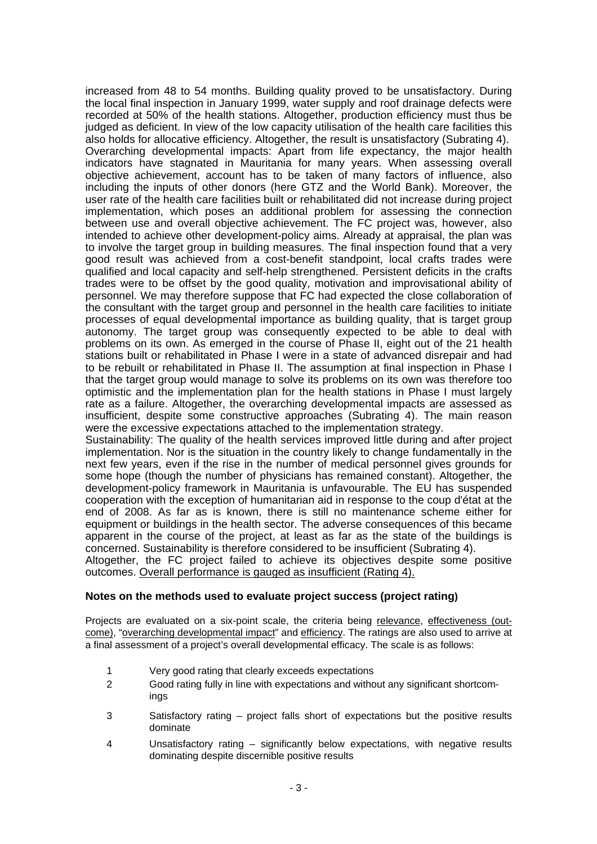increased from 48 to 54 months. Building quality proved to be unsatisfactory. During the local final inspection in January 1999, water supply and roof drainage defects were recorded at 50% of the health stations. Altogether, production efficiency must thus be judged as deficient. In view of the low capacity utilisation of the health care facilities this also holds for allocative efficiency. Altogether, the result is unsatisfactory (Subrating 4). Overarching developmental impacts: Apart from life expectancy, the major health indicators have stagnated in Mauritania for many years. When assessing overall objective achievement, account has to be taken of many factors of influence, also including the inputs of other donors (here GTZ and the World Bank). Moreover, the user rate of the health care facilities built or rehabilitated did not increase during project implementation, which poses an additional problem for assessing the connection between use and overall objective achievement. The FC project was, however, also intended to achieve other development-policy aims. Already at appraisal, the plan was to involve the target group in building measures. The final inspection found that a very good result was achieved from a cost-benefit standpoint, local crafts trades were qualified and local capacity and self-help strengthened. Persistent deficits in the crafts trades were to be offset by the good quality, motivation and improvisational ability of personnel. We may therefore suppose that FC had expected the close collaboration of the consultant with the target group and personnel in the health care facilities to initiate processes of equal developmental importance as building quality, that is target group autonomy. The target group was consequently expected to be able to deal with problems on its own. As emerged in the course of Phase II, eight out of the 21 health stations built or rehabilitated in Phase I were in a state of advanced disrepair and had to be rebuilt or rehabilitated in Phase II. The assumption at final inspection in Phase I that the target group would manage to solve its problems on its own was therefore too optimistic and the implementation plan for the health stations in Phase I must largely rate as a failure. Altogether, the overarching developmental impacts are assessed as insufficient, despite some constructive approaches (Subrating 4). The main reason were the excessive expectations attached to the implementation strategy.

Sustainability: The quality of the health services improved little during and after project implementation. Nor is the situation in the country likely to change fundamentally in the next few years, even if the rise in the number of medical personnel gives grounds for some hope (though the number of physicians has remained constant). Altogether, the development-policy framework in Mauritania is unfavourable. The EU has suspended cooperation with the exception of humanitarian aid in response to the coup d'état at the end of 2008. As far as is known, there is still no maintenance scheme either for equipment or buildings in the health sector. The adverse consequences of this became apparent in the course of the project, at least as far as the state of the buildings is concerned. Sustainability is therefore considered to be insufficient (Subrating 4).

Altogether, the FC project failed to achieve its objectives despite some positive outcomes. Overall performance is gauged as insufficient (Rating 4).

## **Notes on the methods used to evaluate project success (project rating)**

Projects are evaluated on a six-point scale, the criteria being relevance, effectiveness (outcome), "overarching developmental impact" and efficiency. The ratings are also used to arrive at a final assessment of a project's overall developmental efficacy. The scale is as follows:

- 1 Very good rating that clearly exceeds expectations
- 2 Good rating fully in line with expectations and without any significant shortcomings
- 3 Satisfactory rating project falls short of expectations but the positive results dominate
- 4 Unsatisfactory rating significantly below expectations, with negative results dominating despite discernible positive results